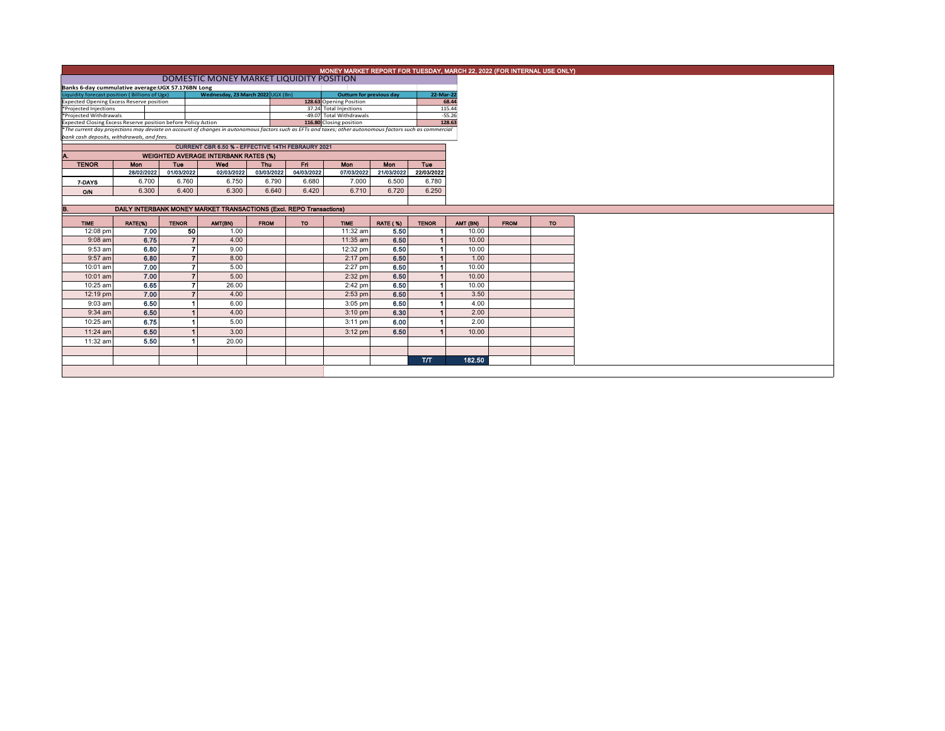|                                                                                                                                                                                                                                              |                                          |                |                                                                     |                        |                          | MONEY MARKET REPORT FOR TUESDAY, MARCH 22, 2022 (FOR INTERNAL USE ONLY) |                 |              |          |  |  |
|----------------------------------------------------------------------------------------------------------------------------------------------------------------------------------------------------------------------------------------------|------------------------------------------|----------------|---------------------------------------------------------------------|------------------------|--------------------------|-------------------------------------------------------------------------|-----------------|--------------|----------|--|--|
|                                                                                                                                                                                                                                              | DOMESTIC MONEY MARKET LIQUIDITY POSITION |                |                                                                     |                        |                          |                                                                         |                 |              |          |  |  |
| Banks 6-day cummulative average: UGX 57.176BN Long                                                                                                                                                                                           |                                          |                |                                                                     |                        |                          |                                                                         |                 |              |          |  |  |
| Wednesday, 23 March 2022 UGX (Bn)                                                                                                                                                                                                            |                                          |                |                                                                     |                        | Outturn for previous day |                                                                         | 22-Mar-22       |              |          |  |  |
|                                                                                                                                                                                                                                              |                                          |                |                                                                     |                        | 128.63 Opening Position  |                                                                         |                 | 68.44        |          |  |  |
| Liquidity forecast position (Billions of Ugx)<br>Expected Opening Excess Reserve position<br>*Projected Injections                                                                                                                           |                                          |                |                                                                     | 37.24 Total Injections |                          |                                                                         | 115.44          |              |          |  |  |
| *Projected Withdrawals                                                                                                                                                                                                                       |                                          |                |                                                                     |                        | -49.07 Total Withdrawals |                                                                         |                 | $-55.26$     |          |  |  |
| Expected Closing Excess Reserve position before Policy Action<br>Expected Closing Excess Reserve position before Policy Action<br><sup>*</sup> The current day projections may deviate on account of changes in autonomous factors such as E |                                          |                |                                                                     |                        |                          |                                                                         |                 | 128.63       |          |  |  |
|                                                                                                                                                                                                                                              |                                          |                |                                                                     |                        |                          |                                                                         |                 |              |          |  |  |
| bank cash deposits, withdrawals, and fees.                                                                                                                                                                                                   |                                          |                |                                                                     |                        |                          |                                                                         |                 |              |          |  |  |
|                                                                                                                                                                                                                                              |                                          |                | CURRENT CBR 6.50 % - EFFECTIVE 14TH FEBRAURY 2021                   |                        |                          |                                                                         |                 |              |          |  |  |
| Α.                                                                                                                                                                                                                                           |                                          |                | <b>WEIGHTED AVERAGE INTERBANK RATES (%)</b>                         |                        |                          |                                                                         |                 |              |          |  |  |
| <b>TENOR</b>                                                                                                                                                                                                                                 | Mon                                      | Tue            | Wed                                                                 | Thu                    | Fri                      | Mon                                                                     | Mon             | Tue          |          |  |  |
|                                                                                                                                                                                                                                              | 28/02/2022                               | 01/03/2022     | 02/03/2022                                                          | 03/03/2022             | 04/03/2022               | 07/03/2022                                                              | 21/03/2022      | 22/03/2022   |          |  |  |
| 7-DAYS                                                                                                                                                                                                                                       | 6.700                                    | 6.760          | 6.750                                                               | 6.790                  | 6.680                    | 7.000                                                                   | 6.500           | 6.780        |          |  |  |
|                                                                                                                                                                                                                                              |                                          |                |                                                                     |                        |                          |                                                                         |                 |              |          |  |  |
| O/N                                                                                                                                                                                                                                          | 6.300                                    | 6.400          | 6.300                                                               | 6.640                  | 6.420                    | 6.710                                                                   | 6.720           | 6.250        |          |  |  |
|                                                                                                                                                                                                                                              |                                          |                |                                                                     |                        |                          |                                                                         |                 |              |          |  |  |
| B.                                                                                                                                                                                                                                           |                                          |                | DAILY INTERBANK MONEY MARKET TRANSACTIONS (Excl. REPO Transactions) |                        |                          |                                                                         |                 |              |          |  |  |
| <b>TIME</b>                                                                                                                                                                                                                                  | RATE(%)                                  | <b>TENOR</b>   | AMT(BN)                                                             | <b>FROM</b>            | <b>TO</b>                | <b>TIME</b>                                                             | <b>RATE (%)</b> | <b>TENOR</b> | AMT (BN) |  |  |
| 12:08 pm                                                                                                                                                                                                                                     | 7.00                                     | 50             | 1.00                                                                |                        |                          | 11:32 am                                                                | 5.50            |              |          |  |  |
| $9:08$ am                                                                                                                                                                                                                                    | 6.75                                     | $\overline{7}$ | 4.00                                                                |                        |                          | 11:35 am                                                                | 6.50            |              |          |  |  |
| 9:53 am                                                                                                                                                                                                                                      | 6.80                                     | $\overline{7}$ | 9.00                                                                |                        |                          | 12:32 pm                                                                | 6.50            |              |          |  |  |
| 9:57 am                                                                                                                                                                                                                                      | 6.80                                     |                | $\overline{z}$<br>8.00                                              |                        |                          | $2:17$ pm                                                               | 6.50            |              |          |  |  |
| 10:01 am                                                                                                                                                                                                                                     | 7.00                                     |                | 5.00<br>,                                                           |                        |                          | $2:27$ pm                                                               | 6.50            |              |          |  |  |
|                                                                                                                                                                                                                                              |                                          |                | $\overline{7}$                                                      |                        |                          |                                                                         |                 |              |          |  |  |
| 10:01 am                                                                                                                                                                                                                                     | 7.00                                     |                | 5.00                                                                |                        |                          | $2:32$ pm                                                               | 6.50            |              |          |  |  |
| 10:25 am                                                                                                                                                                                                                                     | 6.65                                     |                | $\overline{ }$<br>26.00                                             |                        |                          | 2:42 pm                                                                 | 6.50            |              |          |  |  |
| 12:19 pm                                                                                                                                                                                                                                     | 7.00                                     |                | $\overline{ }$<br>4.00                                              |                        |                          | $2:53$ pm                                                               | 6.50            |              |          |  |  |
| 9:03 am                                                                                                                                                                                                                                      | 6.50                                     |                | 6.00                                                                |                        |                          | $3:05$ pm                                                               | 6.50            |              |          |  |  |
|                                                                                                                                                                                                                                              |                                          |                | 4.00                                                                |                        |                          | $3:10$ pm                                                               | 6.30            |              |          |  |  |
| $9:34$ am                                                                                                                                                                                                                                    | 6.50                                     |                |                                                                     |                        |                          |                                                                         |                 |              |          |  |  |
| 10:25 am                                                                                                                                                                                                                                     | 6.75                                     |                | 5.00                                                                |                        |                          | $3:11$ pm                                                               | 6.00            |              |          |  |  |
| $11:24$ am                                                                                                                                                                                                                                   | 6.50                                     |                | 3.00                                                                |                        |                          | $3:12$ pm                                                               | 6.50            |              |          |  |  |
| 11:32 am                                                                                                                                                                                                                                     |                                          |                | 20.00                                                               |                        |                          |                                                                         |                 |              |          |  |  |
|                                                                                                                                                                                                                                              | 5.50                                     |                |                                                                     |                        |                          |                                                                         |                 |              |          |  |  |
|                                                                                                                                                                                                                                              |                                          |                |                                                                     |                        |                          |                                                                         |                 | <b>T/T</b>   |          |  |  |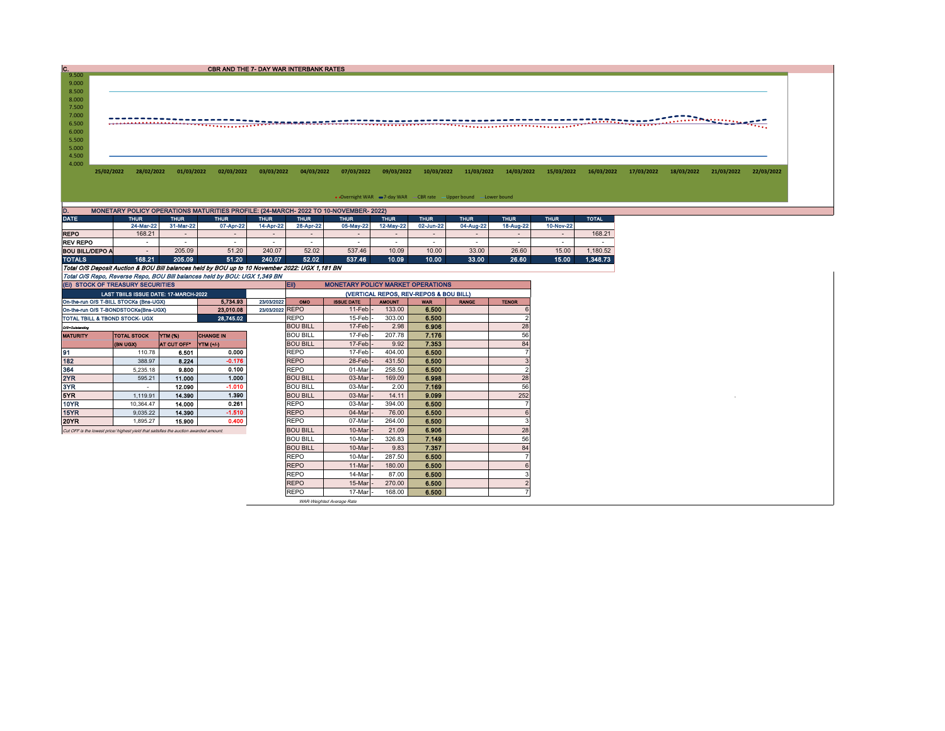$C.  
9.500$ CBR AND THE 7- DAY WAR INTERBANK RATES 9.000 8.500<br>8.000<br>7.500<br>7.000 6.500 5.000 5.500 6.000 4.500 4.000 25/02/2022 28/02/2022 01/03/2022 02/03/2022 03/03/2022 04/03/2022 07/03/2022 09/03/2022 10/03/2022 11/03/2022 14/03/2022 15/03/2022 15/03/2022 17/03/2022 18/03/2022 12/03/2022 12/03/2022 12/03/2022 12/03/2022 12 • Overnight WAR = 7-day WAR CBR rate - Upper bound - Lower bound

| D.                                                                                             | MONETARY POLICY OPERATIONS MATURITIES PROFILE: (24-MARCH- 2022 TO 10-NOVEMBER- 2022) |                          |                            |                          |                            |           |             |             |             |             |                          |          |  |  |  |
|------------------------------------------------------------------------------------------------|--------------------------------------------------------------------------------------|--------------------------|----------------------------|--------------------------|----------------------------|-----------|-------------|-------------|-------------|-------------|--------------------------|----------|--|--|--|
| <b>DATE</b>                                                                                    | <b>THUR</b><br><b>THUR</b><br><b>THUR</b>                                            |                          | <b>THUR</b><br><b>THUR</b> |                          | <b>THUR</b><br><b>THUR</b> |           | <b>THUR</b> | <b>THUR</b> | <b>THUR</b> | <b>THUR</b> | <b>TOTAL</b>             |          |  |  |  |
|                                                                                                | 24-Mar-22                                                                            | 31-Mar-22                | 07-Apr-22                  | 14-Apr-22                | 28-Apr-22                  | 05-May-22 | 12-May-22   | 02-Jun-22   | 04-Aug-22   | 18-Aug-22   | 10-Nov-22                |          |  |  |  |
| <b>REPO</b>                                                                                    | 168.21                                                                               | $\overline{\phantom{a}}$ |                            | $\overline{\phantom{a}}$ |                            |           |             |             |             |             | $\overline{\phantom{0}}$ | 168.21   |  |  |  |
| <b>REV REPO</b>                                                                                |                                                                                      |                          | -                          | $\overline{\phantom{a}}$ |                            |           |             | -           |             |             |                          |          |  |  |  |
| BOU BILL/DEPO A                                                                                |                                                                                      | 205.09                   | 51.20                      | 240.07                   | 52.02                      | 537.46    | 10.09       | 10.00       | 33.00       | 26.60       | 15.00                    | 1.180.52 |  |  |  |
| <b>TOTALS</b>                                                                                  | 168.21                                                                               | 205.09                   | 51.20                      | 240.07                   | 52.02                      | 537.46    | 10.09       | 10.00       | 33.00       | 26.60       | 15.00                    | 1.348.73 |  |  |  |
| Total O/S Deposit Auction & BOU Bill balances held by BOU up to 10 November 2022: UGX 1,181 BN |                                                                                      |                          |                            |                          |                            |           |             |             |             |             |                          |          |  |  |  |
| Total O/S Repo, Reverse Repo, BOU Bill balances held by BOU: UGX 1,349 BN                      |                                                                                      |                          |                            |                          |                            |           |             |             |             |             |                          |          |  |  |  |

| (EI) STOCK OF TREASURY SECURITIES                                                     |                                       |             |                  |        | <b>MONETARY POLICY MARKET OPERATIONS</b><br><b>ED</b> |                   |               |            |              |              |  |  |  |
|---------------------------------------------------------------------------------------|---------------------------------------|-------------|------------------|--------|-------------------------------------------------------|-------------------|---------------|------------|--------------|--------------|--|--|--|
|                                                                                       | LAST TBIILS ISSUE DATE: 17-MARCH-2022 |             |                  |        | (VERTICAL REPOS, REV-REPOS & BOU BILL)                |                   |               |            |              |              |  |  |  |
| 5.734.93<br>23/03/2022<br>On-the-run O/S T-BILL STOCKs (Bns-UGX)                      |                                       |             |                  |        |                                                       | <b>ISSUE DATE</b> | <b>AMOUNT</b> | <b>WAR</b> | <b>RANGE</b> | <b>TENOR</b> |  |  |  |
| On-the-run O/S T-BONDSTOCKs(Bns-UGX)                                                  | 23/03/2022 REPO                       |             | $11-Feb$ -       | 133.00 | 6.500                                                 |                   |               |            |              |              |  |  |  |
| TOTAL TBILL & TBOND STOCK- UGX                                                        |                                       |             | 28,745.02        |        | <b>REPO</b>                                           | 15-Feb-           | 303.00        | 6.500      |              |              |  |  |  |
| O/S=Outstanding                                                                       |                                       |             |                  |        | <b>BOU BILL</b>                                       | 17-Feb -          | 2.98          | 6.906      |              | 28           |  |  |  |
| <b>MATURITY</b>                                                                       | <b>TOTAL STOCK</b>                    | YTM (%)     | <b>CHANGE IN</b> |        | <b>BOU BILL</b>                                       | 17-Feb -          | 207.78        | 7.176      |              | 56           |  |  |  |
|                                                                                       | <b>(BN UGX)</b>                       | AT CUT OFF* | <b>YTM (+/-)</b> |        | <b>BOU BILL</b>                                       | $17$ -Feb $-$     | 9.92          | 7.353      |              | 84           |  |  |  |
| 91                                                                                    | 110.78                                | 6,501       | 0.000            |        | <b>REPO</b>                                           | 17-Feb -          | 404.00        | 6.500      |              |              |  |  |  |
| 182                                                                                   | 388.97                                | 8.224       | $-0.176$         |        | <b>REPO</b>                                           | 28-Feb-           | 431.50        | 6.500      |              |              |  |  |  |
| 364                                                                                   | 5.235.18                              | 9.800       | 0.100            |        | <b>REPO</b>                                           | 01-Mar            | 258.50        | 6.500      |              |              |  |  |  |
| 2YR                                                                                   | 595.21                                | 11.000      | 1.000            |        | <b>BOU BILL</b>                                       | 03-Mar            | 169.09        | 6.998      |              | 28           |  |  |  |
| 3YR                                                                                   | $\overline{\phantom{a}}$              | 12.090      | $-1.010$         |        | <b>BOU BILL</b>                                       | 03-Mar            | 2.00          | 7.169      |              | 56           |  |  |  |
| 5YR                                                                                   | 1.119.91                              | 14,390      | 1.390            |        | <b>BOU BILL</b>                                       | 03-Mar            | 14.11         | 9.099      |              | 252          |  |  |  |
| 10YR                                                                                  | 10.364.47                             | 14.000      | 0.261            |        | <b>REPO</b>                                           | 03-Mar            | 394.00        | 6.500      |              |              |  |  |  |
| 15YR                                                                                  | 9,035.22                              | 14.390      | $-1.510$         |        | <b>REPO</b>                                           | 04-Mar            | 76.00         | 6.500      |              |              |  |  |  |
| 20YR                                                                                  | 1.895.27                              | 15,900      | 0.400            |        | <b>REPO</b>                                           | 07-Mar            | 264.00        | 6.500      |              |              |  |  |  |
| Cut OFF is the lowest price/ highest yield that satisfies the auction awarded amount. |                                       |             |                  |        | <b>BOU BILL</b>                                       | 10-Mar            | 21.09         | 6.906      |              | 28           |  |  |  |
|                                                                                       |                                       |             |                  |        | <b>BOU BILL</b>                                       | 10-Mar            | 326.83        | 7.149      |              | 56           |  |  |  |
|                                                                                       |                                       |             | <b>BOU BILL</b>  | 10-Mar | 9.83                                                  | 7.357             |               | 84         |              |              |  |  |  |
|                                                                                       |                                       |             |                  |        | <b>REPO</b>                                           | 10-Mar            | 287.50        | 6.500      |              |              |  |  |  |
|                                                                                       |                                       |             |                  |        | <b>REPO</b>                                           | 11-Mar            | 180.00        | 6.500      |              |              |  |  |  |
|                                                                                       |                                       |             |                  |        | <b>REPO</b>                                           | 14-Mar            | 87.00         | 6.500      |              |              |  |  |  |
|                                                                                       |                                       |             |                  |        | <b>REPO</b>                                           | 15-Mar            | 270.00        | 6.500      |              |              |  |  |  |
|                                                                                       |                                       |             |                  |        | <b>REPO</b>                                           | 17-Mar            | 168.00        | 6.500      |              |              |  |  |  |

WAR-Weighted Average Rate